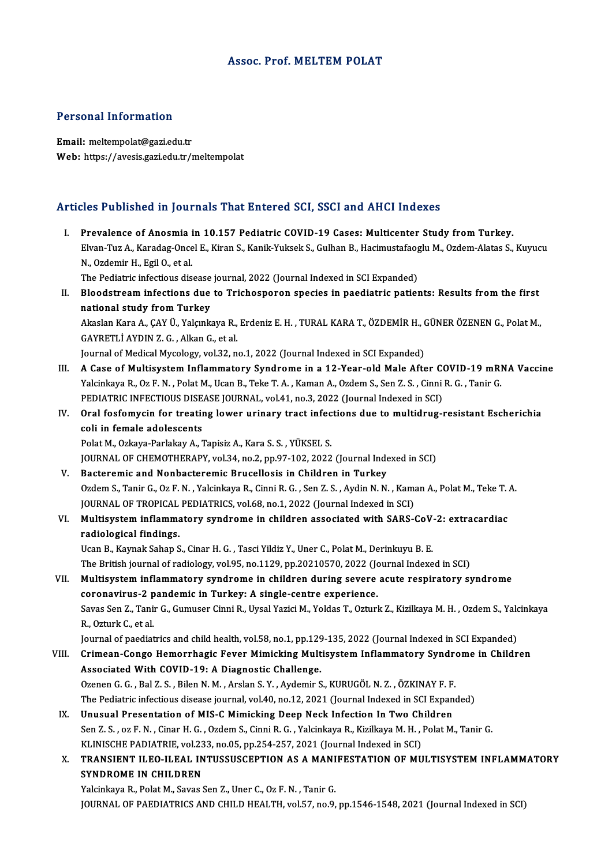### Assoc. Prof. MELTEM POLAT

## Personal Information

Email: meltempolat@gazi.edu.tr Web: https://avesis.gazi.edu.tr/meltempolat

# Articles Published in Journals That Entered SCI, SSCI and AHCI Indexes

rticles Published in Journals That Entered SCI, SSCI and AHCI Indexes<br>I. Prevalence of Anosmia in 10.157 Pediatric COVID-19 Cases: Multicenter Study from Turkey.<br>Elvan Tuz A. Karadas Onsel E. Kiran S. Kanik Yuksek S. Culba Elvan-TuzA., Karadag-Oncel E., Kiran S., Kanik-Yuksek S., Gulhan B., Hacimustafaoglu M., Ozdem-Alatas S., Kuyucu<br>Elvan-Tuz A., Karadag-Oncel E., Kiran S., Kanik-Yuksek S., Gulhan B., Hacimustafaoglu M., Ozdem-Alatas S., Ku I. Prevalence of Anosmia in 10.157 Pediatric COVID-19 Cases: Multicenter Study from Turkey.<br>Elvan-Tuz A., Karadag-Oncel E., Kiran S., Kanik-Yuksek S., Gulhan B., Hacimustafaoglu M., Ozdem-Alatas S., N., Ozdemir H., Egil O. Elvan-Tuz A., Karadag-Oncel E., Kiran S., Kanik-Yuksek S., Gulhan B., Hacimustafaog<br>N., Ozdemir H., Egil O., et al.<br>The Pediatric infectious disease journal, 2022 (Journal Indexed in SCI Expanded)<br>Pleodetreem infections du II. Bloodstream infections due to Trichosporon species in paediatric patients: Results from the first national study from Turkey The Pediatric infectious disease journal, 2022 (Journal Indexed in SCI Expanded) Bloodstream infections due to Trichosporon species in paediatric patients: Results from the first<br>national study from Turkey<br>Akaslan Kara A., ÇAY Ü., Yalçınkaya R., Erdeniz E. H. , TURAL KARA T., ÖZDEMİR H., GÜNER ÖZENEN G national study from Turkey<br>Akaslan Kara A., ÇAY Ü., Yalçınkaya R.,<br>GAYRETLİ AYDIN Z. G. , Alkan G., et al.<br>Journal of Medical Mycology yol 32. n GAYRETLİ AYDIN Z. G. , Alkan G., et al.<br>Journal of Medical Mycology, vol.32, no.1, 2022 (Journal Indexed in SCI Expanded) GAYRETLİ AYDIN Z. G. , Alkan G., et al.<br>Journal of Medical Mycology, vol.32, no.1, 2022 (Journal Indexed in SCI Expanded)<br>III. A Case of Multisystem Inflammatory Syndrome in a 12-Year-old Male After COVID-19 mRNA Vacci Journal of Medical Mycology, vol.32, no.1, 2022 (Journal Indexed in SCI Expanded)<br>A Case of Multisystem Inflammatory Syndrome in a 12-Year-old Male After COVID-19 mRI<br>Yalcinkaya R., Oz F. N. , Polat M., Ucan B., Teke T. A. A Case of Multisystem Inflammatory Syndrome in a 12-Year-old Male After Conditions and National Valcinkaya R., Oz F. N., Polat M., Ucan B., Teke T. A., Kaman A., Ozdem S., Sen Z. S., Cinni<br>PEDIATRIC INFECTIOUS DISEASE JOUR Yalcinkaya R., Oz F. N. , Polat M., Ucan B., Teke T. A. , Kaman A., Ozdem S., Sen Z. S. , Cinni R. G. , Tanir G.<br>PEDIATRIC INFECTIOUS DISEASE JOURNAL, vol.41, no.3, 2022 (Journal Indexed in SCI)<br>IV. Oral fosfomycin for tre PEDIATRIC INFECTIOUS DISEASE JOURNAL, vol.41, no.3, 2022 (Journal Indexed in SCI)<br>Oral fosfomycin for treating lower urinary tract infections due to multidrug-<br>coli in female adolescents<br>Polat M., Ozkaya-Parlakay A., Tapis Oral fosfomycin for treating lower urinary tract infec<br>coli in female adolescents<br>Polat M., Ozkaya-Parlakay A., Tapisiz A., Kara S. S. , YÜKSEL S.<br>JOUPMAL OF CHEMOTHERARY vol.34, no.2, nn.97,102,2022 JOURNAL OF CHEMOTHERAPY, vol.34, no.2, pp.97-102, 2022 (Journal Indexed in SCI) V. Bacteremic and Nonbacteremic Brucellosis in Children in Turkey JOURNAL OF CHEMOTHERAPY, vol.34, no.2, pp.97-102, 2022 (Journal Indexed in SCI)<br>Bacteremic and Nonbacteremic Brucellosis in Children in Turkey<br>Ozdem S., Tanir G., Oz F. N. , Yalcinkaya R., Cinni R. G. , Sen Z. S. , Aydin N Bacteremic and Nonbacteremic Brucellosis in Children in Turkey<br>Ozdem S., Tanir G., Oz F. N. , Yalcinkaya R., Cinni R. G. , Sen Z. S. , Aydin N. N. , Kama<br>JOURNAL OF TROPICAL PEDIATRICS, vol.68, no.1, 2022 (Journal Indexed Ozdem S., Tanir G., Oz F. N. , Yalcinkaya R., Cinni R. G. , Sen Z. S. , Aydin N. N. , Kaman A., Polat M., Teke T.<br>JOURNAL OF TROPICAL PEDIATRICS, vol.68, no.1, 2022 (Journal Indexed in SCI)<br>VI. Multisystem inflammatory syn JOURNAL OF TROPICAL PEDIATRICS, vol.68, no.1, 2022 (Journal Indexed in SCI)<br>VI. Multisystem inflammatory syndrome in children associated with SARS-CoV-2: extracardiac<br>radiological findings. Ucan B., Kaynak Sahap S., Cinar H. G., Tasci Yildiz Y., Uner C., Polat M., Derinkuyu B. E. The British journal of radiology, vol.95, no.1129, pp.20210570, 2022 (Journal Indexed in SCI) Ucan B., Kaynak Sahap S., Cinar H. G., Tasci Yildiz Y., Uner C., Polat M., Derinkuyu B. E.<br>The British journal of radiology, vol.95, no.1129, pp.20210570, 2022 (Journal Indexed in SCI)<br>VII. Multisystem inflammatory syndrom The British journal of radiology, vol.95, no.1129, pp.20210570, 2022 (Jonath Multisystem inflammatory syndrome in children during severe<br>coronavirus-2 pandemic in Turkey: A single-centre experience.<br>Saves San 7, Tapir C. C Multisystem inflammatory syndrome in children during severe acute respiratory syndrome<br>coronavirus-2 pandemic in Turkey: A single-centre experience.<br>Savas Sen Z., Tanir G., Gumuser Cinni R., Uysal Yazici M., Yoldas T., Ozt coronavirus-2 pandemic in Turkey: A single-centre experience.<br>Savas Sen Z., Tanir G., Gumuser Cinni R., Uysal Yazici M., Yoldas T., Ozturk Z., Kizilkaya M. H. , Ozdem S., Yal<br>R., Ozturk C., et al.<br>Journal of paediatrics an Savas Sen Z., Tanir G., Gumuser Cinni R., Uysal Yazici M., Yoldas T., Ozturk Z., Kizilkaya M. H. , Ozdem S., Yald<br>R., Ozturk C., et al.<br>Journal of paediatrics and child health, vol.58, no.1, pp.129-135, 2022 (Journal Index VIII. Crimean-Congo Hemorrhagic Fever Mimicking Multisystem Inflammatory Syndrome in Children Associated With COVID-19: A Diagnostic Challenge. Ozenen G. G. , Bal Z. S. , Bilen N. M. , Arslan S. Y. , Aydemir S., KURUGÖL N. Z. , ÖZKINAY F. F. The Pediatric infectious disease journal, vol.40, no.12, 2021 (Journal Indexed in SCI Expanded) Ozenen G. G., Bal Z. S., Bilen N. M., Arslan S. Y., Aydemir S., KURUGÖL N. Z., ÖZKINAY F. F.<br>The Pediatric infectious disease journal, vol.40, no.12, 2021 (Journal Indexed in SCI Expan<br>IX. Unusual Presentation of MIS-C Mim Sen Z. S. , oz F. N. , Cinar H. G. , Ozdem S., Cinni R. G. , Yalcinkaya R., Kizilkaya M. H. , Polat M., Tanir G.<br>KLINISCHE PADIATRIE, vol.233, no.05, pp.254-257, 2021 (Journal Indexed in SCI) Unusual Presentation of MIS-C Mimicking Deep Neck Infection In Two Ch<br>Sen Z.S., oz F. N., Cinar H. G., Ozdem S., Cinni R. G., Yalcinkaya R., Kizilkaya M. H., J<br>KLINISCHE PADIATRIE, vol.233, no.05, pp.254-257, 2021 (Journal Sen Z. S. , oz F. N. , Cinar H. G. , Ozdem S., Cinni R. G. , Yalcinkaya R., Kizilkaya M. H. , Polat M., Tanir G.<br>KLINISCHE PADIATRIE, vol.233, no.05, pp.254-257, 2021 (Journal Indexed in SCI)<br>X. TRANSIENT ILEO-ILEAL INTUSS KLINISCHE PADIATRIE, vol.23<br>TRANSIENT ILEO-ILEAL IN<br>SYNDROME IN CHILDREN<br>Vekinkave B. Bakt M. Saves i TRANSIENT ILEO-ILEAL INTUSSUSCEPTION AS A MANI<br>SYNDROME IN CHILDREN<br>Yalcinkaya R., Polat M., Savas Sen Z., Uner C., Oz F. N. , Tanir G.<br>JOUPMAL OF BAEDIATRICS AND CHU D HEALTH .val 57, no 9.

SYNDROME IN CHILDREN<br>Yalcinkaya R., Polat M., Savas Sen Z., Uner C., Oz F. N. , Tanir G.<br>JOURNAL OF PAEDIATRICS AND CHILD HEALTH, vol.57, no.9, pp.1546-1548, 2021 (Journal Indexed in SCI)